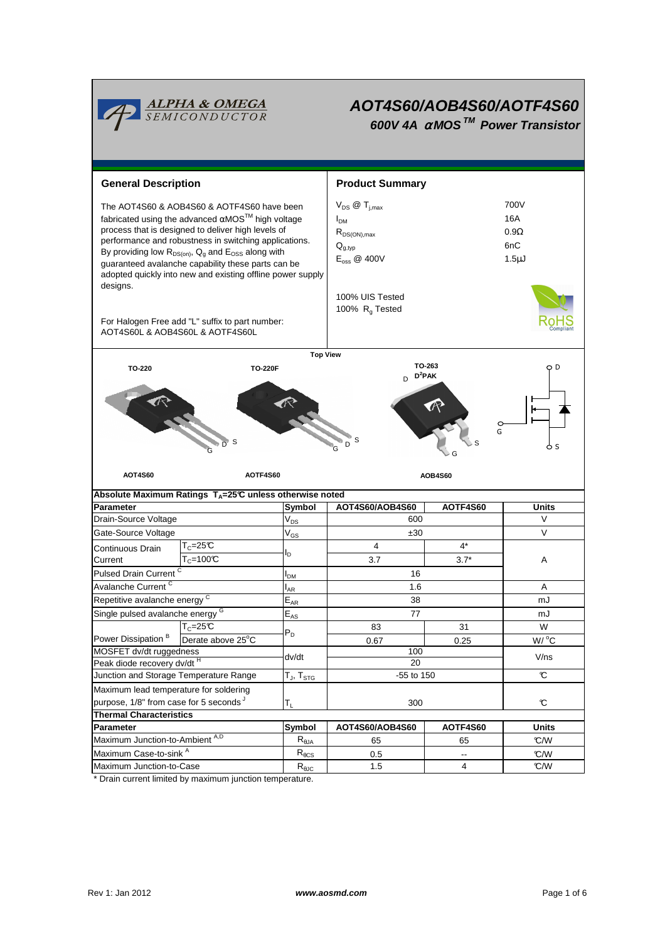

# **AOT4S60/AOB4S60/AOTF4S60 600V 4A** <sup>α</sup> **MOS TM Power Transistor**

| <b>General Description</b>                                                                                                                                                                                                                                                                                                                                                                                        |                                                 |                            | <b>Product Summary</b>                                                                                           |                          |                                                 |  |
|-------------------------------------------------------------------------------------------------------------------------------------------------------------------------------------------------------------------------------------------------------------------------------------------------------------------------------------------------------------------------------------------------------------------|-------------------------------------------------|----------------------------|------------------------------------------------------------------------------------------------------------------|--------------------------|-------------------------------------------------|--|
| The AOT4S60 & AOB4S60 & AOTF4S60 have been<br>fabricated using the advanced $αMOS™$ high voltage<br>process that is designed to deliver high levels of<br>performance and robustness in switching applications.<br>By providing low $R_{DS(on)}$ , $Q_g$ and $E_{OSS}$ along with<br>guaranteed avalanche capability these parts can be<br>adopted quickly into new and existing offline power supply<br>designs. |                                                 |                            | $V_{DS}$ $\omega$ $T_{i,max}$<br>I <sub>DM</sub><br>$R_{DS(ON),max}$<br>$Q_{q,typ}$<br>$E_{\text{oss}} \ @$ 400V |                          | 700V<br>16A<br>$0.9\Omega$<br>6nC<br>$1.5\mu$ J |  |
| AOT4S60L & AOB4S60L & AOTF4S60L                                                                                                                                                                                                                                                                                                                                                                                   | For Halogen Free add "L" suffix to part number: |                            | 100% UIS Tested<br>100% R <sub>a</sub> Tested                                                                    |                          |                                                 |  |
|                                                                                                                                                                                                                                                                                                                                                                                                                   |                                                 | <b>Top View</b>            |                                                                                                                  |                          |                                                 |  |
| TO-263<br>Ð<br>TO-220<br><b>TO-220F</b><br>$D^2$ PAK<br>D<br>G<br>S<br>$\overline{D}$<br>-S<br>D<br>O S                                                                                                                                                                                                                                                                                                           |                                                 |                            |                                                                                                                  |                          |                                                 |  |
| <b>AOT4S60</b><br>AOTF4S60<br>Absolute Maximum Ratings T <sub>A</sub> =25℃ unless otherwise noted                                                                                                                                                                                                                                                                                                                 |                                                 |                            |                                                                                                                  |                          |                                                 |  |
|                                                                                                                                                                                                                                                                                                                                                                                                                   |                                                 |                            |                                                                                                                  | <b>AOB4S60</b>           |                                                 |  |
|                                                                                                                                                                                                                                                                                                                                                                                                                   |                                                 |                            |                                                                                                                  |                          |                                                 |  |
|                                                                                                                                                                                                                                                                                                                                                                                                                   |                                                 | <b>Symbol</b>              | AOT4S60/AOB4S60<br>600                                                                                           | AOTF4S60                 | <b>Units</b><br>V                               |  |
| <b>Parameter</b><br>Drain-Source Voltage<br>Gate-Source Voltage                                                                                                                                                                                                                                                                                                                                                   |                                                 | $V_{DS}$                   | ±30                                                                                                              |                          | V                                               |  |
|                                                                                                                                                                                                                                                                                                                                                                                                                   | $T_c = 25C$                                     | $V_{GS}$                   | 4                                                                                                                | $4^*$                    |                                                 |  |
| Continuous Drain<br>Current                                                                                                                                                                                                                                                                                                                                                                                       | $T_c = 100C$                                    | l <sub>D</sub>             | 3.7                                                                                                              | $3.7*$                   | Α                                               |  |
| Pulsed Drain Current <sup>C</sup>                                                                                                                                                                                                                                                                                                                                                                                 |                                                 | <b>PDM</b>                 | 16                                                                                                               |                          |                                                 |  |
| Avalanche Current <sup>C</sup>                                                                                                                                                                                                                                                                                                                                                                                    |                                                 | l <sub>AR</sub>            | 1.6                                                                                                              |                          | A                                               |  |
| Repetitive avalanche energy <sup>C</sup>                                                                                                                                                                                                                                                                                                                                                                          |                                                 | $\mathsf{E}_{\mathsf{AR}}$ | 38                                                                                                               |                          | mJ                                              |  |
| Single pulsed avalanche energy G                                                                                                                                                                                                                                                                                                                                                                                  |                                                 | $E_{AS}$                   | 77                                                                                                               |                          | mJ                                              |  |
|                                                                                                                                                                                                                                                                                                                                                                                                                   | $T_c = 25C$                                     |                            | 83                                                                                                               | 31                       | W                                               |  |
| Power Dissipation <sup>B</sup>                                                                                                                                                                                                                                                                                                                                                                                    | Derate above 25°C                               | $P_D$                      | 0.67                                                                                                             | 0.25                     | W/ °C                                           |  |
| MOSFET dv/dt ruggedness                                                                                                                                                                                                                                                                                                                                                                                           |                                                 | dv/dt                      | 100                                                                                                              |                          | V/ns                                            |  |
| Peak diode recovery dv/dt H                                                                                                                                                                                                                                                                                                                                                                                       |                                                 |                            | $20\,$                                                                                                           |                          |                                                 |  |
| Junction and Storage Temperature Range                                                                                                                                                                                                                                                                                                                                                                            |                                                 | $T_{J}$ , $T_{STG}$        | -55 to 150                                                                                                       |                          | C                                               |  |
| Maximum lead temperature for soldering                                                                                                                                                                                                                                                                                                                                                                            |                                                 |                            |                                                                                                                  |                          |                                                 |  |
| purpose, 1/8" from case for 5 seconds J                                                                                                                                                                                                                                                                                                                                                                           |                                                 | $T_L$                      | 300                                                                                                              |                          | $\mathfrak{C}$                                  |  |
| <b>Thermal Characteristics</b><br><b>Parameter</b>                                                                                                                                                                                                                                                                                                                                                                |                                                 | Symbol                     | AOT4S60/AOB4S60                                                                                                  | AOTF4S60                 | Units                                           |  |
| Maximum Junction-to-Ambient A,D                                                                                                                                                                                                                                                                                                                                                                                   |                                                 | $R_{\theta JA}$            | 65                                                                                                               | 65                       | C/W                                             |  |
| Maximum Case-to-sink A                                                                                                                                                                                                                                                                                                                                                                                            |                                                 | $R_{\theta CS}$            | 0.5                                                                                                              | $\overline{\phantom{a}}$ | °C/W                                            |  |

\* Drain current limited by maximum junction temperature.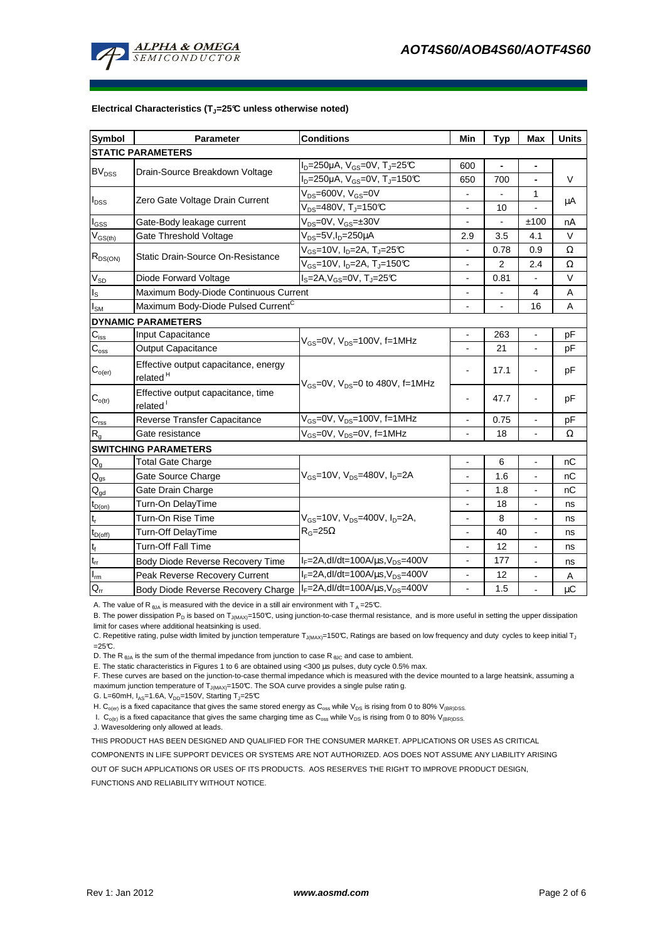

#### **Electrical Characteristics (TJ=25°C unless otherwise noted)**

| <b>Symbol</b>               | Parameter                                                                       | <b>Conditions</b>                                         | Min                      | <b>Typ</b>               | Max                      | <b>Units</b> |  |  |  |  |
|-----------------------------|---------------------------------------------------------------------------------|-----------------------------------------------------------|--------------------------|--------------------------|--------------------------|--------------|--|--|--|--|
| <b>STATIC PARAMETERS</b>    |                                                                                 |                                                           |                          |                          |                          |              |  |  |  |  |
| <b>BV<sub>DSS</sub></b>     | Drain-Source Breakdown Voltage                                                  | $I_D = 250 \mu A$ , $V_{GS} = 0V$ , $T_J = 25 \text{C}$   | 600                      |                          | $\blacksquare$           |              |  |  |  |  |
|                             |                                                                                 | $I_D = 250 \mu A$ , $V_{GS} = 0V$ , $T_J = 150 \text{°C}$ | 650                      | 700                      | $\blacksquare$           | V            |  |  |  |  |
| $I_{DSS}$                   | Zero Gate Voltage Drain Current                                                 | $V_{DS}$ =600V, $V_{GS}$ =0V                              |                          |                          | 1                        |              |  |  |  |  |
|                             |                                                                                 | $V_{DS}$ =480V, T <sub>J</sub> =150°C                     |                          | 10                       |                          | μA           |  |  |  |  |
| $I_{GSS}$                   | Gate-Body leakage current                                                       | $V_{DS} = 0V$ , $V_{GS} = \pm 30V$                        |                          |                          | ±100                     | nA           |  |  |  |  |
| $V_{GS(th)}$                | Gate Threshold Voltage                                                          | V <sub>DS</sub> =5V,I <sub>D</sub> =250µA                 | 2.9                      | 3.5                      | 4.1                      | V            |  |  |  |  |
| $R_{DS(ON)}$                | Static Drain-Source On-Resistance                                               | $V_{GS}$ =10V, I <sub>D</sub> =2A, T <sub>J</sub> =25°C   |                          | 0.78                     | 0.9                      | Ω            |  |  |  |  |
|                             |                                                                                 | $V_{GS}$ =10V, I <sub>D</sub> =2A, T <sub>J</sub> =150°C  |                          | $\overline{2}$           | 2.4                      | Ω            |  |  |  |  |
| $\rm V_{SD}$                | Diode Forward Voltage                                                           | $I_S = 2A$ , $V_{GS} = 0V$ , $T_J = 25C$                  |                          | 0.81                     |                          | V            |  |  |  |  |
| $\mathsf{I}_\mathsf{S}$     | Maximum Body-Diode Continuous Current                                           |                                                           |                          |                          | 4                        | Α            |  |  |  |  |
| $I_{SM}$                    | Maximum Body-Diode Pulsed Current <sup>C</sup>                                  |                                                           |                          | $\overline{\phantom{0}}$ | 16                       | A            |  |  |  |  |
| <b>DYNAMIC PARAMETERS</b>   |                                                                                 |                                                           |                          |                          |                          |              |  |  |  |  |
| $C_{\mathsf{iss}}$          | Input Capacitance                                                               | $V_{GS}$ =0V, $V_{DS}$ =100V, f=1MHz                      |                          | 263                      |                          | pF           |  |  |  |  |
| $\mathbf{C}_{\text{oss}}$   | Output Capacitance                                                              |                                                           |                          | 21                       | $\blacksquare$           | рF           |  |  |  |  |
| $C_{o(er)}$                 | Effective output capacitance, energy<br>related <sup>H</sup>                    | $V_{GS}$ =0V, $V_{DS}$ =0 to 480V, f=1MHz                 |                          | 17.1                     |                          | рF           |  |  |  |  |
| $C_{o(tr)}$                 | Effective output capacitance, time<br>related <sup>1</sup>                      |                                                           |                          | 47.7                     |                          | pF           |  |  |  |  |
| $C_{\text{rss}}$            | Reverse Transfer Capacitance                                                    | $V_{GS}$ =0V, $V_{DS}$ =100V, f=1MHz                      | $\blacksquare$           | 0.75                     | $\blacksquare$           | pF           |  |  |  |  |
| $R_{q}$                     | Gate resistance                                                                 | V <sub>GS</sub> =0V, V <sub>DS</sub> =0V, f=1MHz          |                          | 18                       |                          | Ω            |  |  |  |  |
| <b>SWITCHING PARAMETERS</b> |                                                                                 |                                                           |                          |                          |                          |              |  |  |  |  |
| $Q_g$                       | <b>Total Gate Charge</b>                                                        |                                                           |                          | 6                        |                          | nС           |  |  |  |  |
| $\mathsf{Q}_{\text{gs}}$    | Gate Source Charge                                                              | $V_{GS}$ =10V, $V_{DS}$ =480V, $I_{D}$ =2A                | $\overline{\phantom{a}}$ | 1.6                      | $\overline{\phantom{a}}$ | nС           |  |  |  |  |
| $\mathsf{Q}_{\text{gd}}$    | Gate Drain Charge                                                               |                                                           |                          | 1.8                      |                          | nC           |  |  |  |  |
| $t_{D(on)}$                 | Turn-On DelayTime                                                               |                                                           |                          | 18                       |                          | ns           |  |  |  |  |
| $t_r$                       | Turn-On Rise Time                                                               | $V_{GS}$ =10V, $V_{DS}$ =400V, $I_{D}$ =2A,               | $\overline{\phantom{a}}$ | 8                        | $\blacksquare$           | ns           |  |  |  |  |
| $t_{D(off)}$                | Turn-Off DelayTime                                                              | $R_G = 25\Omega$                                          | $\blacksquare$           | 40                       | $\blacksquare$           | ns           |  |  |  |  |
| $\mathsf{t}_{\mathsf{f}}$   | Turn-Off Fall Time                                                              |                                                           | $\blacksquare$           | 12                       | $\blacksquare$           | ns           |  |  |  |  |
| $t_{rr}$                    | Body Diode Reverse Recovery Time                                                | $I_F = 2A$ , dl/dt=100A/ $\mu$ s, V <sub>DS</sub> =400V   |                          | 177                      |                          | ns           |  |  |  |  |
| $I_{\underline{m}}$         | Peak Reverse Recovery Current                                                   | $I_F = 2A$ , dl/dt=100A/ $\mu$ s, V <sub>DS</sub> =400V   |                          | 12                       | $\blacksquare$           | A            |  |  |  |  |
| $Q_{rr}$                    | Body Diode Reverse Recovery Charge   F=2A, dl/dt=100A/us, V <sub>DS</sub> =400V |                                                           |                          | 1.5                      |                          | $\mu$ C      |  |  |  |  |

A. The value of R  $_{\theta$ JA is measured with the device in a still air environment with T A = 25°C.

B. The power dissipation P<sub>D</sub> is based on T<sub>J(MAX)</sub>=150°C, using junction-to-case thermal resistance, and is more useful in setting the upper dissipation limit for cases where additional heatsinking is used.

C. Repetitive rating, pulse width limited by junction temperature T<sub>J(MAX)</sub>=150°C, Ratings are based on low frequency and duty cycles to keep initial T<sub>J</sub>  $=25C$ .

D. The R  $_{\text{BJA}}$  is the sum of the thermal impedance from junction to case R  $_{\text{BJC}}$  and case to ambient.

E. The static characteristics in Figures 1 to 6 are obtained using <300 µs pulses, duty cycle 0.5% max.

F. These curves are based on the junction-to-case thermal impedance which is measured with the device mounted to a large heatsink, assuming a maximum junction temperature of  $T_{J(MAX)}$ =150°C. The SOA curve provides a single pulse ratin g.

G. L=60mH,  $I_{AS}$ =1.6A,  $V_{DD}$ =150V, Starting T<sub>J</sub>=25°C

H. C<sub>o(er)</sub> is a fixed capacitance that gives the same stored energy as C<sub>oss</sub> while V<sub>DS</sub> is rising from 0 to 80% V<sub>(BR)DSS</sub>.

I.  $C_{o(t)}$  is a fixed capacitance that gives the same charging time as  $C_{oss}$  while  $V_{DS}$  is rising from 0 to 80%  $V_{(BR)DSS}$ .

J. Wavesoldering only allowed at leads.

THIS PRODUCT HAS BEEN DESIGNED AND QUALIFIED FOR THE CONSUMER MARKET. APPLICATIONS OR USES AS CRITICAL

COMPONENTS IN LIFE SUPPORT DEVICES OR SYSTEMS ARE NOT AUTHORIZED. AOS DOES NOT ASSUME ANY LIABILITY ARISING

OUT OF SUCH APPLICATIONS OR USES OF ITS PRODUCTS. AOS RESERVES THE RIGHT TO IMPROVE PRODUCT DESIGN,

FUNCTIONS AND RELIABILITY WITHOUT NOTICE.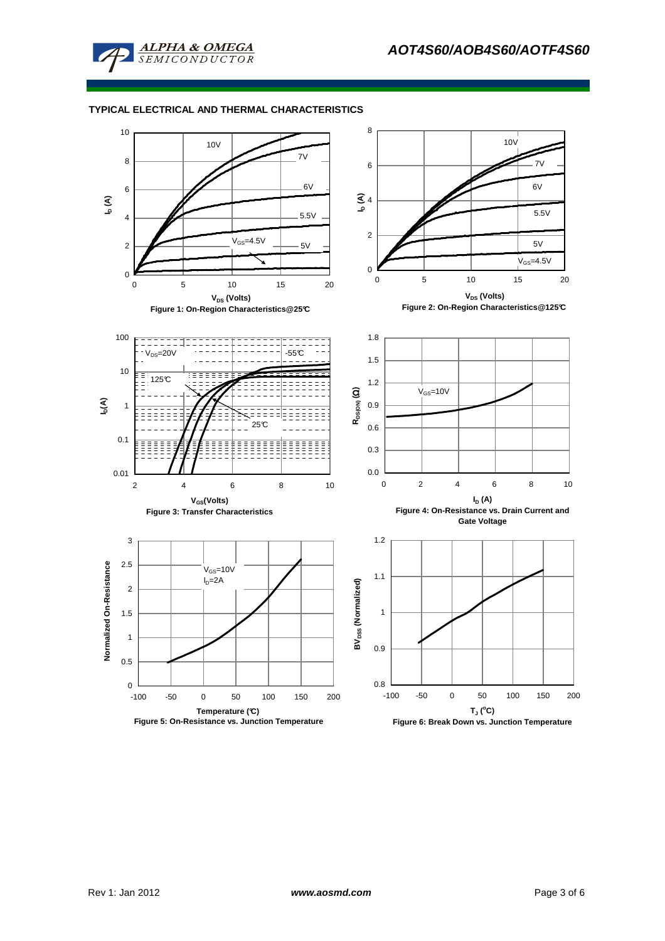

### **TYPICAL ELECTRICAL AND THERMAL CHARACTERISTICS**

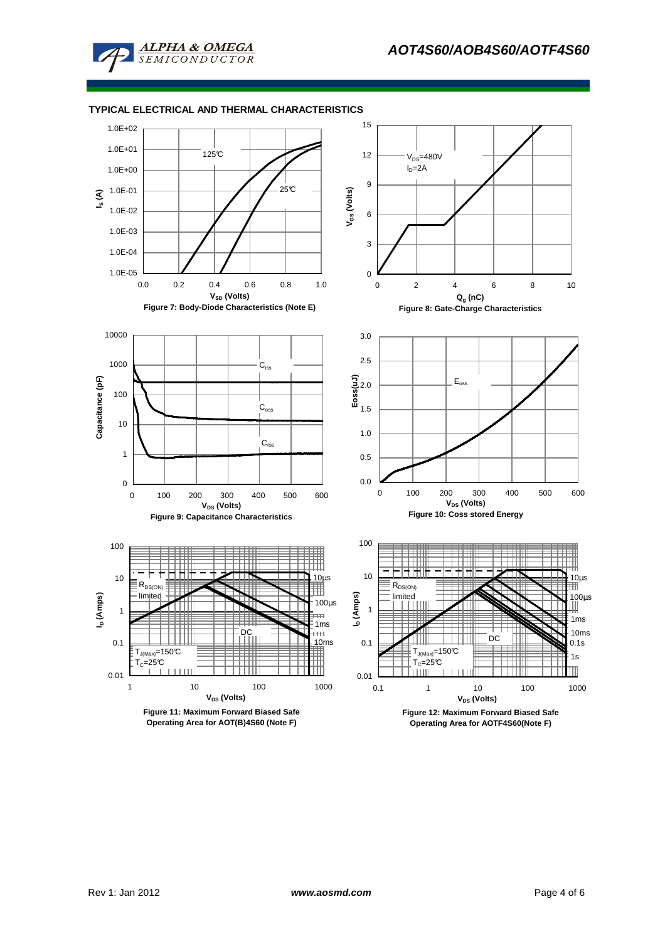

### **TYPICAL ELECTRICAL AND THERMAL CHARACTERISTICS**

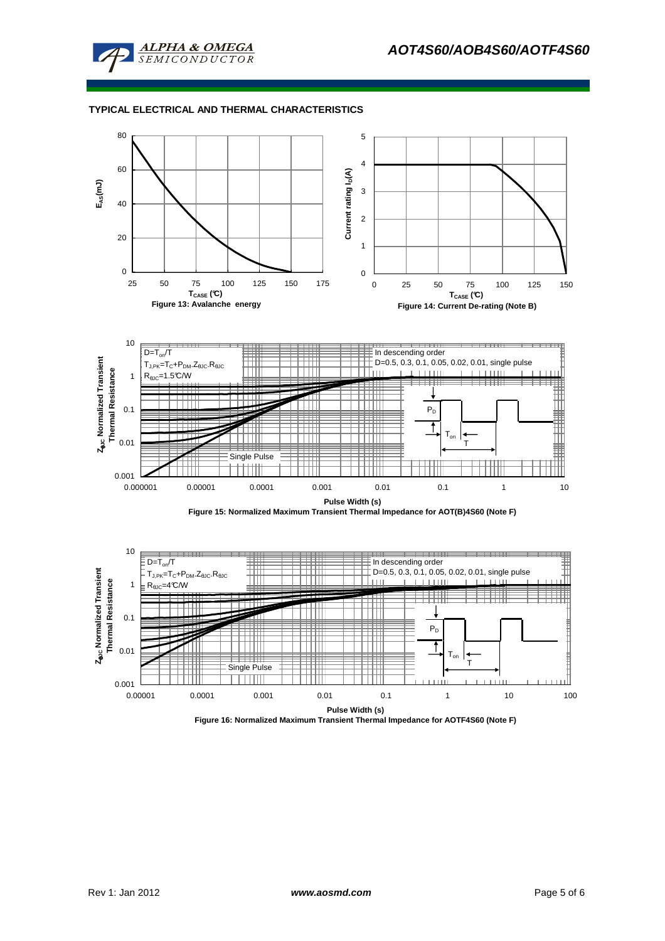

### **TYPICAL ELECTRICAL AND THERMAL CHARACTERISTICS**



0.001

0.01

0.00001 0.0001 0.001 0.01 0.1 1 10 100 **Pulse Width (s) Figure 16: Normalized Maximum Transient Thermal Impedance for AOTF4S60 (Note F)**

Ton T

1

Single Pulse

TTTTTT

Ë